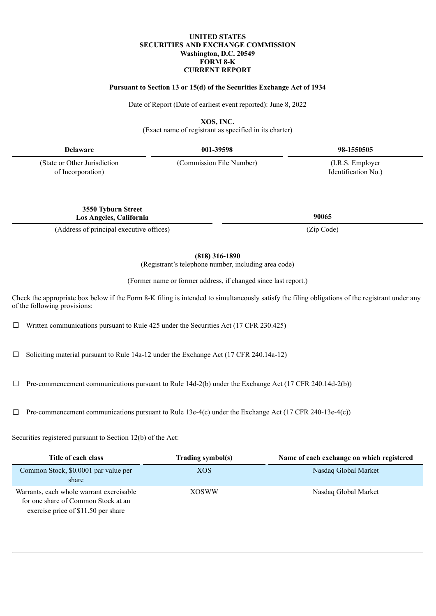## **UNITED STATES SECURITIES AND EXCHANGE COMMISSION Washington, D.C. 20549 FORM 8-K CURRENT REPORT**

### **Pursuant to Section 13 or 15(d) of the Securities Exchange Act of 1934**

Date of Report (Date of earliest event reported): June 8, 2022

**XOS, INC.**

(Exact name of registrant as specified in its charter)

**Delaware 001-39598 98-1550505**

(State or Other Jurisdiction of Incorporation)

> **3550 Tyburn Street Los Angeles, California 90065**

(Address of principal executive offices) (Zip Code)

**(818) 316-1890**

(Registrant's telephone number, including area code)

(Former name or former address, if changed since last report.)

Check the appropriate box below if the Form 8-K filing is intended to simultaneously satisfy the filing obligations of the registrant under any of the following provisions:

 $\Box$  Written communications pursuant to Rule 425 under the Securities Act (17 CFR 230.425)

 $\Box$  Soliciting material pursuant to Rule 14a-12 under the Exchange Act (17 CFR 240.14a-12)

 $\Box$  Pre-commencement communications pursuant to Rule 14d-2(b) under the Exchange Act (17 CFR 240.14d-2(b))

 $\Box$  Pre-commencement communications pursuant to Rule 13e-4(c) under the Exchange Act (17 CFR 240-13e-4(c))

Securities registered pursuant to Section 12(b) of the Act:

| Title of each class                                                                                                    | Trading symbol(s) | Name of each exchange on which registered |
|------------------------------------------------------------------------------------------------------------------------|-------------------|-------------------------------------------|
| Common Stock, \$0.0001 par value per<br>share                                                                          | XOS               | Nasdaq Global Market                      |
| Warrants, each whole warrant exercisable<br>for one share of Common Stock at an<br>exercise price of \$11.50 per share | <b>XOSWW</b>      | Nasdaq Global Market                      |

(Commission File Number) (I.R.S. Employer

Identification No.)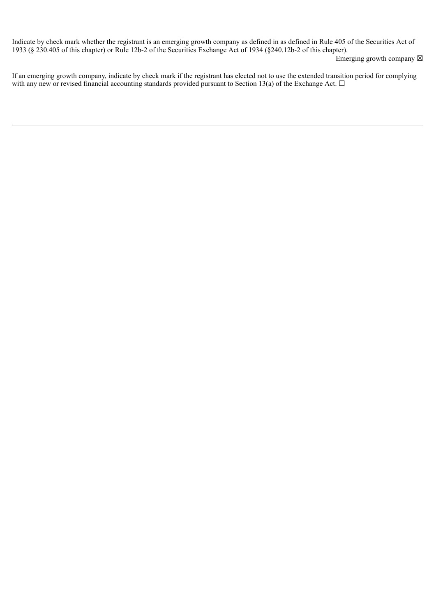Indicate by check mark whether the registrant is an emerging growth company as defined in as defined in Rule 405 of the Securities Act of 1933 (§ 230.405 of this chapter) or Rule 12b-2 of the Securities Exchange Act of 1934 (§240.12b-2 of this chapter).

Emerging growth company  $\boxtimes$ 

If an emerging growth company, indicate by check mark if the registrant has elected not to use the extended transition period for complying with any new or revised financial accounting standards provided pursuant to Section 13(a) of the Exchange Act.  $\Box$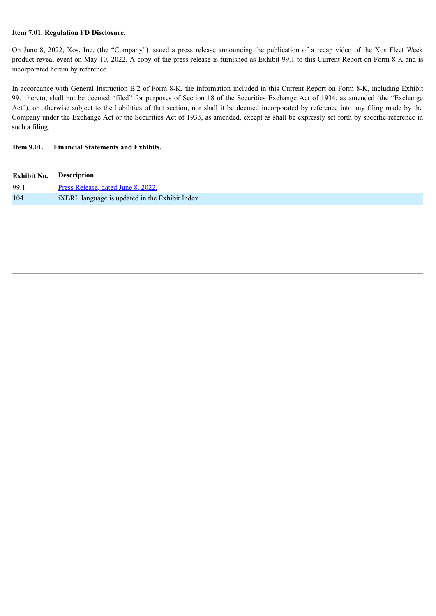## **Item 7.01. Regulation FD Disclosure.**

On June 8, 2022, Xos, Inc. (the "Company") issued a press release announcing the publication of a recap video of the Xos Fleet Week product reveal event on May 10, 2022. A copy of the press release is furnished as Exhibit 99.1 to this Current Report on Form 8-K and is incorporated herein by reference.

In accordance with General Instruction B.2 of Form 8-K, the information included in this Current Report on Form 8-K, including Exhibit 99.1 hereto, shall not be deemed "filed" for purposes of Section 18 of the Securities Exchange Act of 1934, as amended (the "Exchange Act"), or otherwise subject to the liabilities of that section, nor shall it be deemed incorporated by reference into any filing made by the Company under the Exchange Act or the Securities Act of 1933, as amended, except as shall be expressly set forth by specific reference in such a filing.

## **Item 9.01. Financial Statements and Exhibits.**

| <b>Exhibit No.</b> | Description                                    |
|--------------------|------------------------------------------------|
| 99.1               | Press Release, dated June 8, 2022.             |
| 104                | iXBRL language is updated in the Exhibit Index |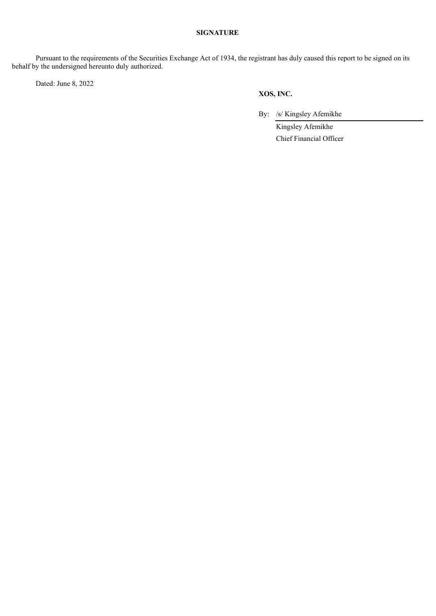## **SIGNATURE**

Pursuant to the requirements of the Securities Exchange Act of 1934, the registrant has duly caused this report to be signed on its behalf by the undersigned hereunto duly authorized.

Dated: June 8, 2022

## **XOS, INC.**

By: /s/ Kingsley Afemikhe

Kingsley Afemikhe Chief Financial Officer